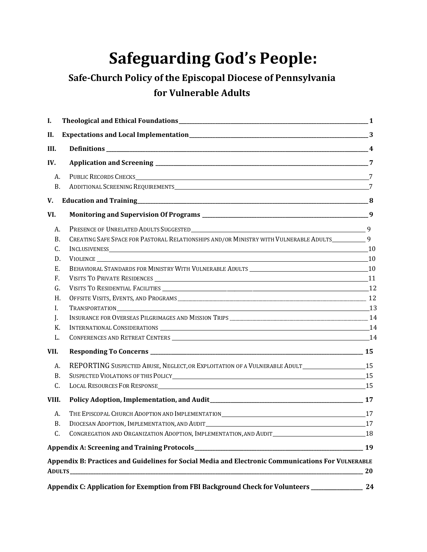# **Safeguarding God's People:**

# **Safe-Church Policy of the Episcopal Diocese of Pennsylvania for Vulnerable Adults**

| I.        |                                                                                                    | $\mathbf{-1}$ |
|-----------|----------------------------------------------------------------------------------------------------|---------------|
| II.       |                                                                                                    |               |
| III.      |                                                                                                    |               |
| IV.       |                                                                                                    |               |
| A.        |                                                                                                    |               |
| <b>B.</b> |                                                                                                    |               |
| V.        |                                                                                                    |               |
| VI.       |                                                                                                    |               |
| A.        |                                                                                                    |               |
| B.        | CREATING SAFE SPACE FOR PASTORAL RELATIONSHIPS AND/OR MINISTRY WITH VULNERABLE ADULTS__________9   |               |
| C.        |                                                                                                    |               |
| D.        | VIOLENCE 10                                                                                        |               |
| Ε.        |                                                                                                    |               |
| F.        |                                                                                                    |               |
| G.        |                                                                                                    |               |
| H.        |                                                                                                    |               |
| I.        | TRANSPORTATION 13                                                                                  |               |
| J.        |                                                                                                    |               |
| К.        |                                                                                                    |               |
| L.        |                                                                                                    |               |
| VII.      |                                                                                                    |               |
| A.        | REPORTING SUSPECTED ABUSE, NEGLECT, OR EXPLOITATION OF A VULNERABLE ADULT___________________15     |               |
| B.        | SUSPECTED VIOLATIONS OF THIS POLICY <sup>15</sup>                                                  |               |
| C.        | LOCAL RESOURCES FOR RESPONSE <sup>15</sup>                                                         |               |
| VIII.     |                                                                                                    |               |
| A.        |                                                                                                    |               |
| В.        | DIOCESAN ADOPTION, IMPLEMENTATION, AND AUDIT <sup>17</sup>                                         |               |
| C.        | CONGREGATION AND ORGANIZATION ADOPTION, IMPLEMENTATION, AND AUDIT <b>SETTION</b> AND AUDIT         |               |
|           |                                                                                                    |               |
|           | Appendix B: Practices and Guidelines for Social Media and Electronic Communications For VULNERABLE |               |
|           |                                                                                                    | 20            |
|           | Appendix C: Application for Exemption from FBI Background Check for Volunteers ______________      | 24            |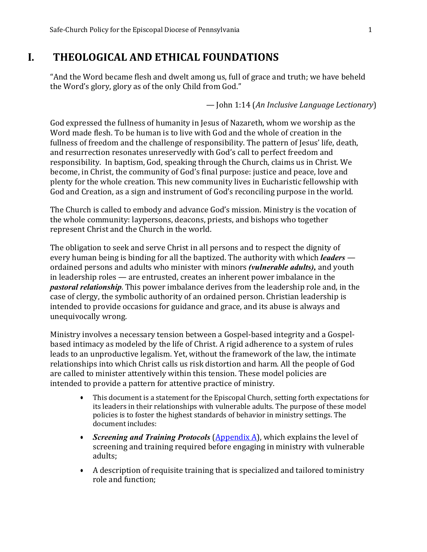# <span id="page-1-0"></span>**I. THEOLOGICAL AND ETHICAL FOUNDATIONS**

"And the Word became flesh and dwelt among us, full of grace and truth; we have beheld the Word's glory, glory as of the only Child from God."

— John 1:14 (*An Inclusive Language Lectionary*)

God expressed the fullness of humanity in Jesus of Nazareth, whom we worship as the Word made flesh. To be human is to live with God and the whole of creation in the fullness of freedom and the challenge of responsibility. The pattern of Jesus' life, death, and resurrection resonates unreservedly with God's call to perfect freedom and responsibility. In baptism, God, speaking through the Church, claims us in Christ. We become, in Christ, the community of God's final purpose: justice and peace, love and plenty for the whole creation. This new community lives in Eucharistic fellowship with God and Creation, as a sign and instrument of God's reconciling purpose in the world.

The Church is called to embody and advance God's mission. Ministry is the vocation of the whole community: laypersons, deacons, priests, and bishops who together represent Christ and the Church in the world.

The obligation to seek and serve Christ in all persons and to respect the dignity of every human being is binding for all the baptized. The authority with which *leaders*  ordained persons and adults who minister with minors *(vulnerable adults),* and youth in leadership roles — are entrusted, creates an inherent power imbalance in the *pastoral relationship*. This power imbalance derives from the leadership role and, in the case of clergy, the symbolic authority of an ordained person. Christian leadership is intended to provide occasions for guidance and grace, and its abuse is always and unequivocally wrong.

Ministry involves a necessary tension between a Gospel-based integrity and a Gospelbased intimacy as modeled by the life of Christ. A rigid adherence to a system of rules leads to an unproductive legalism. Yet, without the framework of the law, the intimate relationships into which Christ calls us risk distortion and harm. All the people of God are called to minister attentively within this tension. These model policies are intended to provide a pattern for attentive practice of ministry.

- This document is a statement for the Episcopal Church, setting forth expectations for its leaders in their relationships with vulnerable adults. The purpose of these model policies is to foster the highest standards of behavior in ministry settings. The document includes:
- *Screening and Training Protocols (Appendix A)*, which explains the level of screening and training required before engaging in ministry with vulnerable adults;
- A description of requisite training that is specialized and tailored toministry role and function;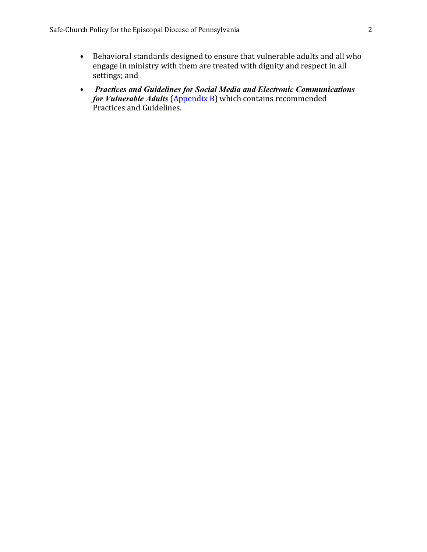- Behavioral standards designed to ensure that vulnerable adults and all who engage in ministry with them are treated with dignity and respect in all settings; and
- *Practices and Guidelines for Social Media and Electronic Communications for Vulnerable Adults* [\(Appendix](#page-20-0) B) which contains recommended Practices and Guidelines.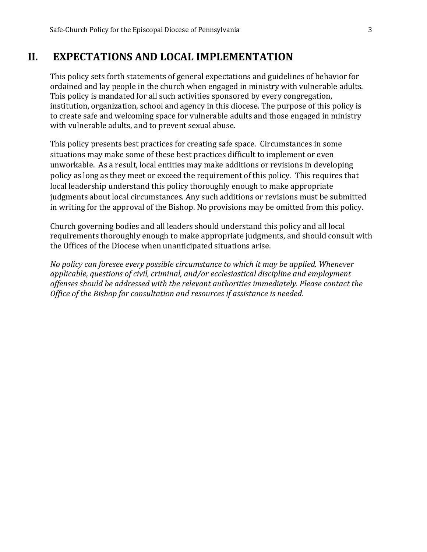# <span id="page-3-0"></span>**II. EXPECTATIONS AND LOCAL IMPLEMENTATION**

This policy sets forth statements of general expectations and guidelines of behavior for ordained and lay people in the church when engaged in ministry with vulnerable adults. This policy is mandated for all such activities sponsored by every congregation, institution, organization, school and agency in this diocese. The purpose of this policy is to create safe and welcoming space for vulnerable adults and those engaged in ministry with vulnerable adults, and to prevent sexual abuse.

This policy presents best practices for creating safe space. Circumstances in some situations may make some of these best practices difficult to implement or even unworkable. As a result, local entities may make additions or revisions in developing policy as long as they meet or exceed the requirement of this policy. This requires that local leadership understand this policy thoroughly enough to make appropriate judgments about local circumstances. Any such additions or revisions must be submitted in writing for the approval of the Bishop. No provisions may be omitted from this policy.

Church governing bodies and all leaders should understand this policy and all local requirements thoroughly enough to make appropriate judgments, and should consult with the Offices of the Diocese when unanticipated situations arise.

*No policy can foresee every possible circumstance to which it may be applied. Whenever applicable, questions of civil, criminal, and/or ecclesiastical discipline and employment offenses should be addressed with the relevant authorities immediately. Please contact the Office of the Bishop for consultation and resources if assistance is needed.*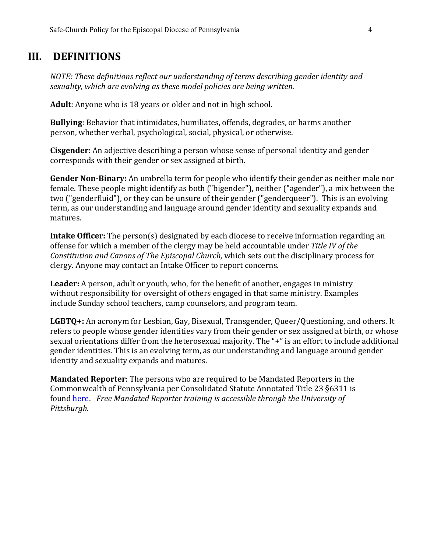# <span id="page-4-0"></span>**III. DEFINITIONS**

*NOTE: These definitions reflect our understanding of terms describing gender identity and sexuality, which are evolving as these model policies are being written.*

**Adult**: Anyone who is 18 years or older and not in high school.

**Bullying**: Behavior that intimidates, humiliates, offends, degrades, or harms another person, whether verbal, psychological, social, physical, or otherwise.

**Cisgender**: An adjective describing a person whose sense of personal identity and gender corresponds with their gender or sex assigned at birth.

**Gender Non-Binary:** An umbrella term for people who identify their gender as neither male nor female. These people might identify as both ("bigender"), neither ("agender"), a mix between the two ("genderfluid"), or they can be unsure of their gender ("genderqueer"). This is an evolving term, as our understanding and language around gender identity and sexuality expands and matures.

**Intake Officer:** The person(s) designated by each diocese to receive information regarding an offense for which a member of the clergy may be held accountable under *Title IV of the Constitution and Canons of The Episcopal Church,* which sets out the disciplinary process for clergy. Anyone may contact an Intake Officer to report concerns.

**Leader:** A person, adult or youth, who, for the benefit of another, engages in ministry without responsibility for oversight of others engaged in that same ministry. Examples include Sunday school teachers, camp counselors, and program team.

**LGBTQ+:** An acronym for Lesbian, Gay, Bisexual, Transgender, Queer/Questioning, and others. It refers to people whose gender identities vary from their gender or sex assigned at birth, or whose sexual orientations differ from the heterosexual majority. The "+" is an effort to include additional gender identities. This is an evolving term, as our understanding and language around gender identity and sexuality expands and matures.

**Mandated Reporter**: The persons who are required to be Mandated Reporters in the Commonwealth of Pennsylvania per Consolidated Statute Annotated Title 23 §6311 is found [here.](https://www.legis.state.pa.us/CFDOCS/LEGIS/LI/consCheck.cfm?txtType=HTM&ttl=23&div=00.&chpt=063.&CFID=224154444&CFTOKEN=11851291) *[Free Mandated Reporter training](https://www.reportabusepa.pitt.edu/webapps/portal/execute/tabs/tabAction?tab_tab_group_id=_91_1) is accessible through the University of Pittsburgh.*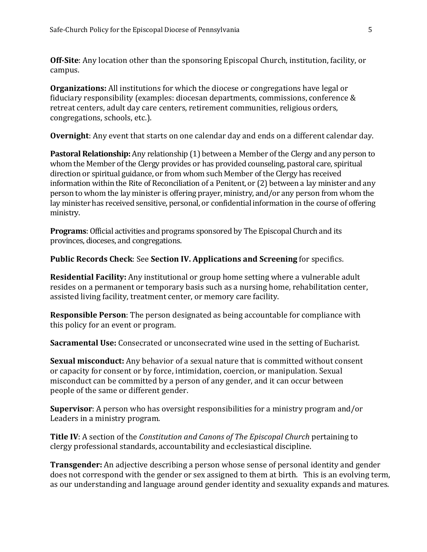**Off-Site**: Any location other than the sponsoring Episcopal Church, institution, facility, or campus.

**Organizations:** All institutions for which the diocese or congregations have legal or fiduciary responsibility (examples: diocesan departments, commissions, conference & retreat centers, adult day care centers, retirement communities, religious orders, congregations, schools, etc.).

**Overnight**: Any event that starts on one calendar day and ends on a different calendar day.

**Pastoral Relationship:** Any relationship (1) between a Member of the Clergy and any person to whom the Member of the Clergy provides or has provided counseling, pastoral care, spiritual direction or spiritual guidance, or from whom such Member of the Clergy has received information within the Rite of Reconciliation of a Penitent, or (2) between a lay minister and any person to whom the lay minister is offering prayer, ministry, and/or any person from whom the lay minister has received sensitive, personal, or confidential information in the course of offering ministry.

**Programs**: Official activities and programs sponsored by The Episcopal Church and its provinces, dioceses, and congregations.

**Public Records Check**: See **Section IV. Applications and Screening** for specifics.

**Residential Facility:** Any institutional or group home setting where a vulnerable adult resides on a permanent or temporary basis such as a nursing home, rehabilitation center, assisted living facility, treatment center, or memory care facility.

**Responsible Person**: The person designated as being accountable for compliance with this policy for an event or program.

**Sacramental Use:** Consecrated or unconsecrated wine used in the setting of Eucharist.

**Sexual misconduct:** Any behavior of a sexual nature that is committed without consent or capacity for consent or by force, intimidation, coercion, or manipulation. Sexual misconduct can be committed by a person of any gender, and it can occur between people of the same or different gender.

**Supervisor**: A person who has oversight responsibilities for a ministry program and/or Leaders in a ministry program.

**Title IV**: A section of the *Constitution and Canons of The Episcopal Church* pertaining to clergy professional standards, accountability and ecclesiastical discipline.

**Transgender:** An adjective describing a person whose sense of personal identity and gender does not correspond with the gender or sex assigned to them at birth. This is an evolving term, as our understanding and language around gender identity and sexuality expands and matures.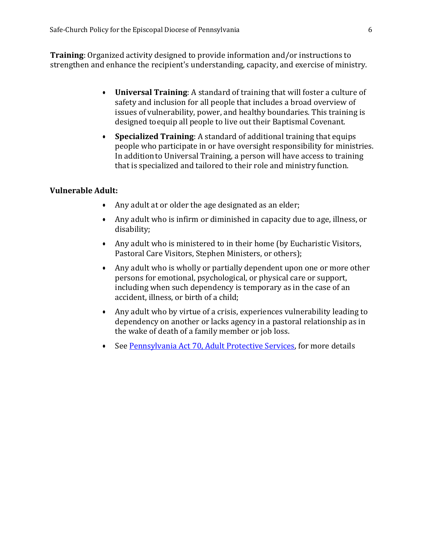**Training**: Organized activity designed to provide information and/or instructions to strengthen and enhance the recipient's understanding, capacity, and exercise of ministry.

- **Universal Training**: A standard of training that will foster a culture of safety and inclusion for all people that includes a broad overview of issues of vulnerability, power, and healthy boundaries. This training is designed toequip all people to live out their Baptismal Covenant.
- **Specialized Training**: A standard of additional training that equips people who participate in or have oversight responsibility for ministries. In additionto Universal Training, a person will have access to training that is specialized and tailored to their role and ministry function.

#### **Vulnerable Adult:**

- Any adult at or older the age designated as an elder;
- Any adult who is infirm or diminished in capacity due to age, illness, or disability;
- Any adult who is ministered to in their home (by Eucharistic Visitors, Pastoral Care Visitors, Stephen Ministers, or others);
- Any adult who is wholly or partially dependent upon one or more other persons for emotional, psychological, or physical care or support, including when such dependency is temporary as in the case of an accident, illness, or birth of a child;
- Any adult who by virtue of a crisis, experiences vulnerability leading to dependency on another or lacks agency in a pastoral relationship as in the wake of death of a family member or job loss.
- See [Pennsylvania Act 70, Adult Protective Services,](http://www.dhs.pa.gov/cs/groups/webcontent/documents/document/c_168643.pdf) for more details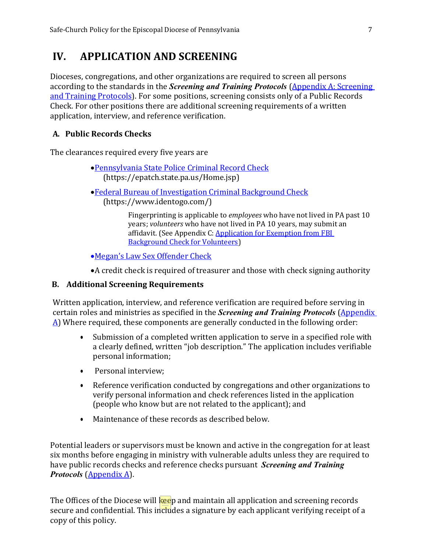# <span id="page-7-0"></span>**IV. APPLICATION AND SCREENING**

Dioceses, congregations, and other organizations are required to screen all persons according to the standards in the *Screening and Training Protocols* [\(Appendix A: Screening](#page-19-0)  [and Training Protocols\)](#page-19-0). For some positions, screening consists only of a Public Records Check. For other positions there are additional screening requirements of a written application, interview, and reference verification.

# <span id="page-7-1"></span>**A. Public Records Checks**

The clearances required every five years are

- •[Pennsylvania State Police Criminal Record Check](https://epatch.state.pa.us/Home.jsp) (https://epatch.state.pa.us/Home.jsp)
- •[Federal Bureau of Investigation Criminal Background Check](https://www.identogo.com/) (https://www.identogo.com/)

<span id="page-7-2"></span>Fingerprinting is applicable to *employees* who have not lived in PA past 10 years; *volunteers* who have not lived in PA 10 years, may submit an affidavit. (See Appendix C: Application for Exemption from FBI [Background Check for Volunteers\)](#page-24-0)

•[Megan's Law Sex Offender Check](https://www.pameganslaw.state.pa.us/TermsandCondition/TermsAccepted)

•A credit check is required of treasurer and those with check signing authority

#### **B. Additional Screening Requirements**

Written application, interview, and reference verification are required before serving in certain roles and ministries as specified in the *Screening and Training Protocols* [\(Appendix](#page-19-0)   $\Delta$ ) Where required, these components are generally conducted in the following order:

- Submission of a completed written application to serve in a specified role with a clearly defined, written "job description." The application includes verifiable personal information;
- Personal interview;
- Reference verification conducted by congregations and other organizations to verify personal information and check references listed in the application (people who know but are not related to the applicant); and
- Maintenance of these records as described below.

Potential leaders or supervisors must be known and active in the congregation for at least six months before engaging in ministry with vulnerable adults unless they are required to have public records checks and reference checks pursuant *Screening and Training Protocols* [\(Appendix A\)](#page-19-0).

The Offices of the Diocese will keep and maintain all application and screening records secure and confidential. This includes a signature by each applicant verifying receipt of a copy of this policy.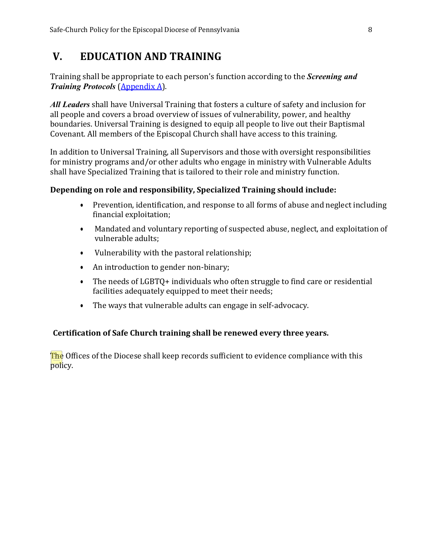# <span id="page-8-0"></span>**V. EDUCATION AND TRAINING**

Training shall be appropriate to each person's function according to the *Screening and Training Protocols* [\(Appendix A\)](#page-19-0).

*All Leaders* shall have Universal Training that fosters a culture of safety and inclusion for all people and covers a broad overview of issues of vulnerability, power, and healthy boundaries. Universal Training is designed to equip all people to live out their Baptismal Covenant. All members of the Episcopal Church shall have access to this training.

In addition to Universal Training, all Supervisors and those with oversight responsibilities for ministry programs and/or other adults who engage in ministry with Vulnerable Adults shall have Specialized Training that is tailored to their role and ministry function.

### **Depending on role and responsibility, Specialized Training should include:**

- Prevention, identification, and response to all forms of abuse and neglect including financial exploitation;
- Mandated and voluntary reporting of suspected abuse, neglect, and exploitation of vulnerable adults;
- Vulnerability with the pastoral relationship;
- An introduction to gender non-binary;
- The needs of LGBTQ+ individuals who often struggle to find care or residential facilities adequately equipped to meet their needs;
- The ways that vulnerable adults can engage in self-advocacy.

# **Certification of Safe Church training shall be renewed every three years.**

**The** Offices of the Diocese shall keep records sufficient to evidence compliance with this policy.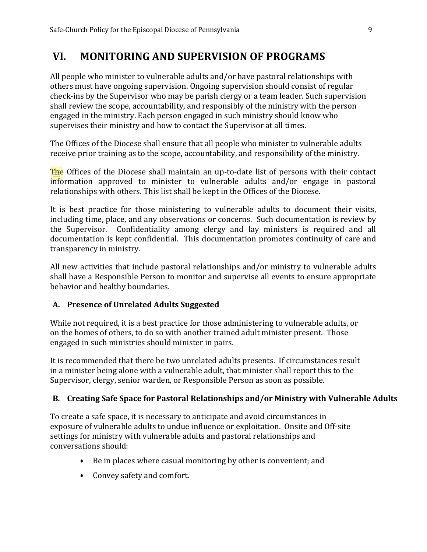# <span id="page-9-0"></span>**VI. MONITORING AND SUPERVISION OF PROGRAMS**

All people who minister to vulnerable adults and/or have pastoral relationships with others must have ongoing supervision. Ongoing supervision should consist of regular check-ins by the Supervisor who may be parish clergy or a team leader. Such supervision shall review the scope, accountability, and responsibly of the ministry with the person engaged in the ministry. Each person engaged in such ministry should know who supervises their ministry and how to contact the Supervisor at all times.

The Offices of the Diocese shall ensure that all people who minister to vulnerable adults receive prior training as to the scope, accountability, and responsibility of the ministry.

The Offices of the Diocese shall maintain an up-to-date list of persons with their contact information approved to minister to vulnerable adults and/or engage in pastoral relationships with others. This list shall be kept in the Offices of the Diocese.

It is best practice for those ministering to vulnerable adults to document their visits, including time, place, and any observations or concerns. Such documentation is review by the Supervisor. Confidentiality among clergy and lay ministers is required and all documentation is kept confidential. This documentation promotes continuity of care and transparency in ministry.

All new activities that include pastoral relationships and/or ministry to vulnerable adults shall have a Responsible Person to monitor and supervise all events to ensure appropriate behavior and healthy boundaries.

#### <span id="page-9-1"></span>**A. Presence of Unrelated Adults Suggested**

While not required, it is a best practice for those administering to vulnerable adults, or on the homes of others, to do so with another trained adult minister present. Those engaged in such ministries should minister in pairs.

It is recommended that there be two unrelated adults presents. If circumstances result in a minister being alone with a vulnerable adult, that minister shall report this to the Supervisor, clergy, senior warden, or Responsible Person as soon as possible.

# <span id="page-9-2"></span>**B. Creating Safe Space for Pastoral Relationships and/or Ministry with Vulnerable Adults**

To create a safe space, it is necessary to anticipate and avoid circumstances in exposure of vulnerable adults to undue influence or exploitation. Onsite and Off-site settings for ministry with vulnerable adults and pastoral relationships and conversations should:

- Be in places where casual monitoring by other is convenient; and
- Convey safety and comfort.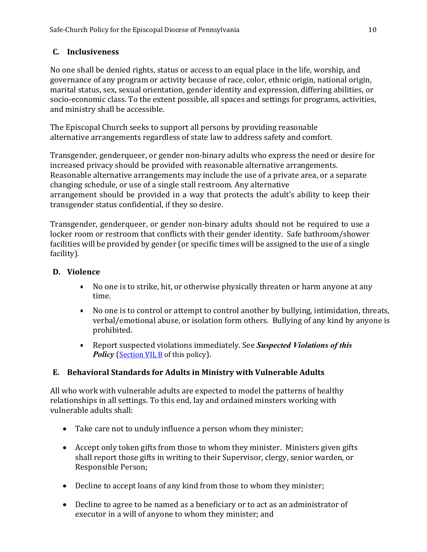# **C. Inclusiveness**

No one shall be denied rights, status or access to an equal place in the life, worship, and governance of any program or activity because of race, color, ethnic origin, national origin, marital status, sex, sexual orientation, gender identity and expression, differing abilities, or socio-economic class. To the extent possible, all spaces and settings for programs, activities, and ministry shall be accessible.

The Episcopal Church seeks to support all persons by providing reasonable alternative arrangements regardless of state law to address safety and comfort.

Transgender, genderqueer, or gender non-binary adults who express the need or desire for increased privacy should be provided with reasonable alternative arrangements. Reasonable alternative arrangements may include the use of a private area, or a separate changing schedule, or use of a single stall restroom. Any alternative arrangement should be provided in a way that protects the adult's ability to keep their transgender status confidential, if they so desire.

Transgender, genderqueer, or gender non-binary adults should not be required to use a locker room or restroom that conflicts with their gender identity. Safe bathroom/shower facilities will be provided by gender (or specific times will be assigned to the use of a single facility).

# <span id="page-10-0"></span>**D. Violence**

- No one is to strike, hit, or otherwise physically threaten or harm anyone at any time.
- No one is to control or attempt to control another by bullying, intimidation, threats, verbal/emotional abuse, or isolation form others. Bullying of any kind by anyone is prohibited.
- Report suspected violations immediately. See *Suspected Violations of this Policy* [\(Section VII, B](#page-15-0) of this policy).

# <span id="page-10-1"></span>**E. Behavioral Standards for Adults in Ministry with Vulnerable Adults**

All who work with vulnerable adults are expected to model the patterns of healthy relationships in all settings. To this end, lay and ordained minsters working with vulnerable adults shall:

- Take care not to unduly influence a person whom they minister;
- Accept only token gifts from those to whom they minister. Ministers given gifts shall report those gifts in writing to their Supervisor, clergy, senior warden, or Responsible Person;
- Decline to accept loans of any kind from those to whom they minister;
- Decline to agree to be named as a beneficiary or to act as an administrator of executor in a will of anyone to whom they minister; and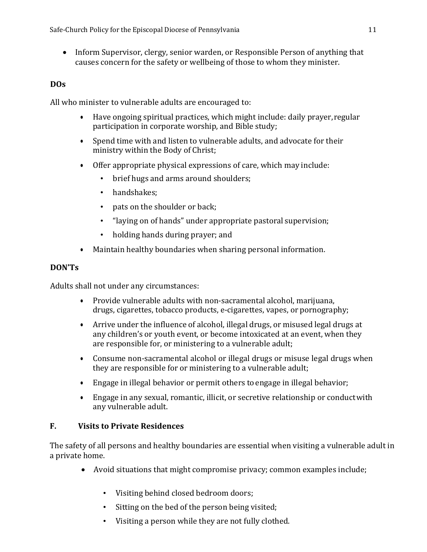• Inform Supervisor, clergy, senior warden, or Responsible Person of anything that causes concern for the safety or wellbeing of those to whom they minister.

# **DOs**

All who minister to vulnerable adults are encouraged to:

- Have ongoing spiritual practices, which might include: daily prayer,regular participation in corporate worship, and Bible study;
- Spend time with and listen to vulnerable adults, and advocate for their ministry within the Body of Christ;
- Offer appropriate physical expressions of care, which may include:
	- brief hugs and arms around shoulders;
	- handshakes:
	- pats on the shoulder or back;
	- "laying on of hands" under appropriate pastoral supervision;
	- holding hands during prayer; and
- Maintain healthy boundaries when sharing personal information.

# **DON'Ts**

Adults shall not under any circumstances:

- Provide vulnerable adults with non-sacramental alcohol, marijuana, drugs, cigarettes, tobacco products, e-cigarettes, vapes, or pornography;
- Arrive under the influence of alcohol, illegal drugs, or misused legal drugs at any children's or youth event, or become intoxicated at an event, when they are responsible for, or ministering to a vulnerable adult;
- Consume non-sacramental alcohol or illegal drugs or misuse legal drugs when they are responsible for or ministering to a vulnerable adult;
- Engage in illegal behavior or permit others toengage in illegal behavior;
- Engage in any sexual, romantic, illicit, or secretive relationship or conductwith any vulnerable adult.

# **F. Visits to Private Residences**

The safety of all persons and healthy boundaries are essential when visiting a vulnerable adult in a private home.

- Avoid situations that might compromise privacy; common examples include;
	- Visiting behind closed bedroom doors;
	- Sitting on the bed of the person being visited;
	- Visiting a person while they are not fully clothed.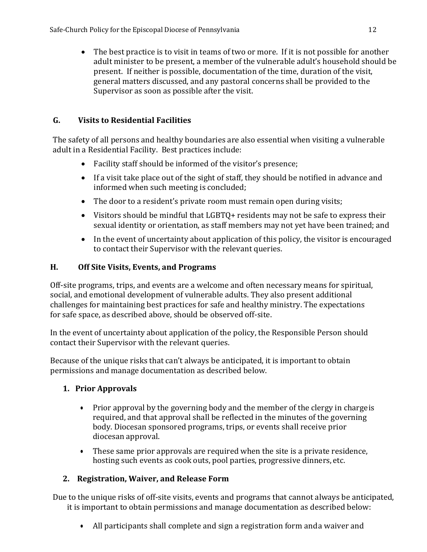• The best practice is to visit in teams of two or more. If it is not possible for another adult minister to be present, a member of the vulnerable adult's household should be present. If neither is possible, documentation of the time, duration of the visit, general matters discussed, and any pastoral concerns shall be provided to the Supervisor as soon as possible after the visit.

# **G. Visits to Residential Facilities**

The safety of all persons and healthy boundaries are also essential when visiting a vulnerable adult in a Residential Facility. Best practices include:

- Facility staff should be informed of the visitor's presence;
- If a visit take place out of the sight of staff, they should be notified in advance and informed when such meeting is concluded;
- The door to a resident's private room must remain open during visits;
- Visitors should be mindful that LGBTQ+ residents may not be safe to express their sexual identity or orientation, as staff members may not yet have been trained; and
- In the event of uncertainty about application of this policy, the visitor is encouraged to contact their Supervisor with the relevant queries.

# **H. Off Site Visits, Events, and Programs**

Off-site programs, trips, and events are a welcome and often necessary means for spiritual, social, and emotional development of vulnerable adults. They also present additional challenges for maintaining best practices for safe and healthy ministry. The expectations for safe space, as described above, should be observed off-site.

In the event of uncertainty about application of the policy, the Responsible Person should contact their Supervisor with the relevant queries.

Because of the unique risks that can't always be anticipated, it is important to obtain permissions and manage documentation as described below.

# **1. Prior Approvals**

- Prior approval by the governing body and the member of the clergy in charge is required, and that approval shall be reflected in the minutes of the governing body. Diocesan sponsored programs, trips, or events shall receive prior diocesan approval.
- These same prior approvals are required when the site is a private residence, hosting such events as cook outs, pool parties, progressive dinners, etc.

# **2. Registration, Waiver, and Release Form**

Due to the unique risks of off-site visits, events and programs that cannot always be anticipated, it is important to obtain permissions and manage documentation as described below:

• All participants shall complete and sign a registration form anda waiver and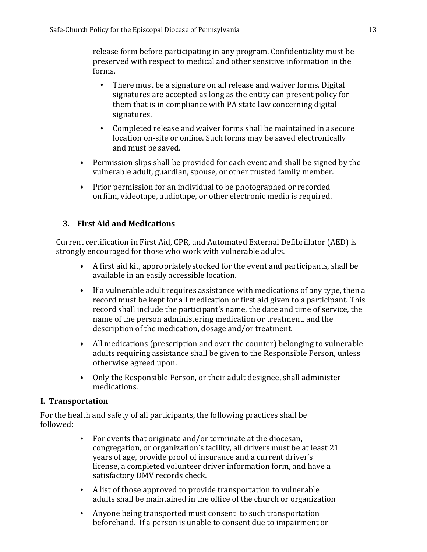release form before participating in any program. Confidentiality must be preserved with respect to medical and other sensitive information in the forms.

- There must be a signature on all release and waiver forms. Digital signatures are accepted as long as the entity can present policy for them that is in compliance with PA state law concerning digital signatures.
- Completed release and waiver forms shall be maintained in asecure location on-site or online. Such forms may be saved electronically and must be saved.
- Permission slips shall be provided for each event and shall be signed by the vulnerable adult, guardian, spouse, or other trusted family member.
- Prior permission for an individual to be photographed or recorded onfilm, videotape, audiotape, or other electronic media is required.

### **3. First Aid and Medications**

Current certification in First Aid, CPR, and Automated External Defibrillator (AED) is strongly encouraged for those who work with vulnerable adults.

- A first aid kit, appropriatelystocked for the event and participants, shall be available in an easily accessible location.
- If a vulnerable adult requires assistance with medications of any type, then a record must be kept for all medication or first aid given to a participant. This record shall include the participant's name, the date and time of service, the name of the person administering medication or treatment, and the description of the medication, dosage and/or treatment.
- All medications (prescription and over the counter) belonging to vulnerable adults requiring assistance shall be given to the Responsible Person, unless otherwise agreed upon.
- Only the Responsible Person, or their adult designee, shall administer medications.

#### **I. Transportation**

For the health and safety of all participants, the following practices shall be followed:

- For events that originate and/or terminate at the diocesan, congregation, or organization's facility, all drivers must be at least 21 years of age, provide proof of insurance and a current driver's license, a completed volunteer driver information form, and have a satisfactory DMV records check.
- A list of those approved to provide transportation to vulnerable adults shall be maintained in the office of the church or organization
- Anyone being transported must consent to such transportation beforehand. If a person is unable to consent due to impairment or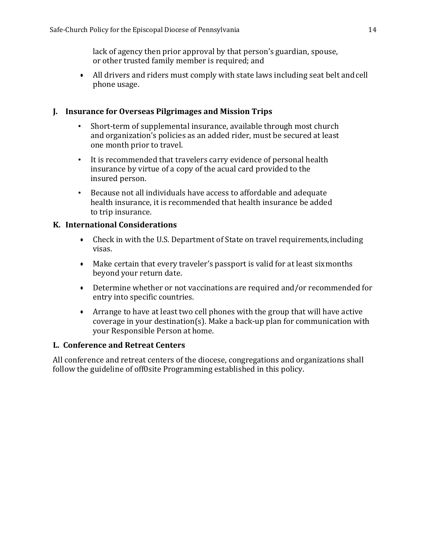lack of agency then prior approval by that person's guardian, spouse, or other trusted family member is required; and

• All drivers and riders must comply with state laws including seat belt andcell phone usage.

#### **J. Insurance for Overseas Pilgrimages and Mission Trips**

- Short-term of supplemental insurance, available through most church and organization's policies as an added rider, must be secured at least one month prior to travel.
- It is recommended that travelers carry evidence of personal health insurance by virtue of a copy of the acual card provided to the insured person.
- Because not all individuals have access to affordable and adequate health insurance, it is recommended that health insurance be added to trip insurance.

#### **K. International Considerations**

- Check in with the U.S. Department of State on travel requirements, including visas.
- Make certain that every traveler's passport is valid for at least sixmonths beyond your return date.
- Determine whether or not vaccinations are required and/or recommended for entry into specific countries.
- Arrange to have at least two cell phones with the group that will have active coverage in your destination(s). Make a back-up plan for communication with your Responsible Person at home.

#### **L. Conference and Retreat Centers**

All conference and retreat centers of the diocese, congregations and organizations shall follow the guideline of off0site Programming established in this policy.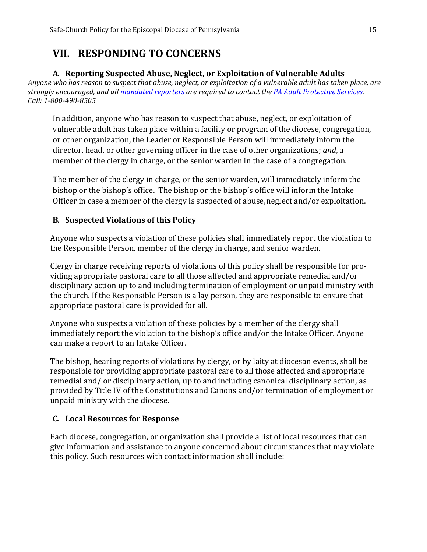# **VII. RESPONDING TO CONCERNS**

### **A. Reporting Suspected Abuse, Neglect, or Exploitation of Vulnerable Adults**

<span id="page-15-0"></span>*Anyone who has reason to suspect that abuse, neglect, or exploitation of a vulnerable adult has taken place, are strongly encouraged, and all [mandated reporters](http://www.dhs.pa.gov/cs/groups/webcontent/documents/document/c_167250.pdf) are required to contact the [PA Adult Protective Services.](http://www.dhs.pa.gov/citizens/reportabuse/dhsadultprotectiveservices/index.htm) Call: 1-800-490-8505*

In addition, anyone who has reason to suspect that abuse, neglect, or exploitation of vulnerable adult has taken place within a facility or program of the diocese, congregation, or other organization, the Leader or Responsible Person will immediately inform the director, head, or other governing officer in the case of other organizations; *and*, a member of the clergy in charge, or the senior warden in the case of a congregation.

The member of the clergy in charge, or the senior warden, will immediately inform the bishop or the bishop's office. The bishop or the bishop's office will inform the Intake Officer in case a member of the clergy is suspected of abuse, neglect and/or exploitation.

# <span id="page-15-1"></span>**B. Suspected Violations of this Policy**

Anyone who suspects a violation of these policies shall immediately report the violation to the Responsible Person, member of the clergy in charge, and senior warden.

Clergy in charge receiving reports of violations of this policy shall be responsible for providing appropriate pastoral care to all those affected and appropriate remedial and/or disciplinary action up to and including termination of employment or unpaid ministry with the church. If the Responsible Person is a lay person, they are responsible to ensure that appropriate pastoral care is provided for all.

Anyone who suspects a violation of these policies by a member of the clergy shall immediately report the violation to the bishop's office and/or the Intake Officer. Anyone can make a report to an Intake Officer.

The bishop, hearing reports of violations by clergy, or by laity at diocesan events, shall be responsible for providing appropriate pastoral care to all those affected and appropriate remedial and/ or disciplinary action, up to and including canonical disciplinary action, as provided by Title IV of the Constitutions and Canons and/or termination of employment or unpaid ministry with the diocese.

# <span id="page-15-2"></span>**C. Local Resources for Response**

Each diocese, congregation, or organization shall provide a list of local resources that can give information and assistance to anyone concerned about circumstances that may violate this policy. Such resources with contact information shall include: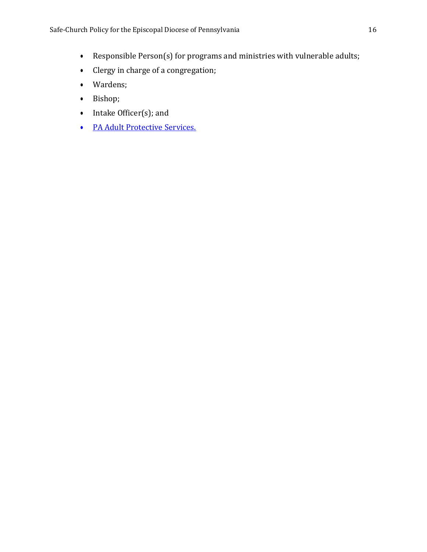- Responsible Person(s) for programs and ministries with vulnerable adults;
- Clergy in charge of a congregation;
- Wardens;
- Bishop;
- Intake Officer(s); and
- [PA Adult Protective Services.](http://www.dhs.pa.gov/citizens/reportabuse/dhsadultprotectiveservices/index.htm)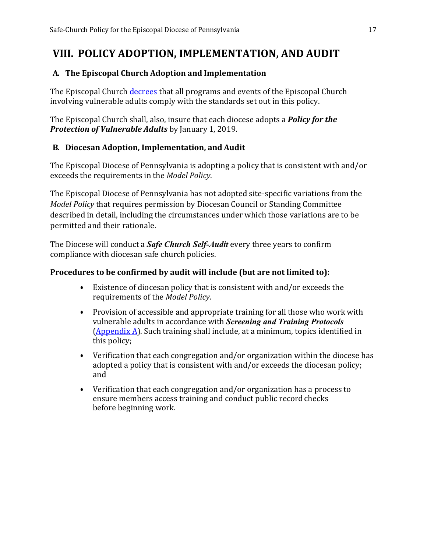# **VIII. POLICY ADOPTION, IMPLEMENTATION, AND AUDIT**

#### <span id="page-17-0"></span>**A. The Episcopal Church Adoption and Implementation**

The Episcopal Church [decrees](https://www.vbinder.net/resolutions/A048?house=hd&lang=en) that all programs and events of the Episcopal Church involving vulnerable adults comply with the standards set out in this policy.

The Episcopal Church shall, also, insure that each diocese adopts a *Policy for the Protection of Vulnerable Adults* by January 1, 2019.

### <span id="page-17-1"></span>**B. Diocesan Adoption, Implementation, and Audit**

The Episcopal Diocese of Pennsylvania is adopting a policy that is consistent with and/or exceeds the requirements in the *Model Policy*.

The Episcopal Diocese of Pennsylvania has not adopted site-specific variations from the *Model Policy* that requires permission by Diocesan Council or Standing Committee described in detail, including the circumstances under which those variations are to be permitted and their rationale.

The Diocese will conduct a *Safe Church Self-Audit* every three years to confirm compliance with diocesan safe church policies.

#### **Procedures to be confirmed by audit will include (but are not limited to):**

- Existence of diocesan policy that is consistent with and/or exceeds the requirements of the *Model Policy*.
- Provision of accessible and appropriate training for all those who work with vulnerable adults in accordance with *Screening and Training Protocols*  [\(Appendix A\)](#page-19-0). Such training shall include, at a minimum, topics identified in this policy;
- Verification that each congregation and/or organization within the diocese has adopted a policy that is consistent with and/or exceeds the diocesan policy; and
- Verification that each congregation and/or organization has a process to ensure members access training and conduct public record checks before beginning work.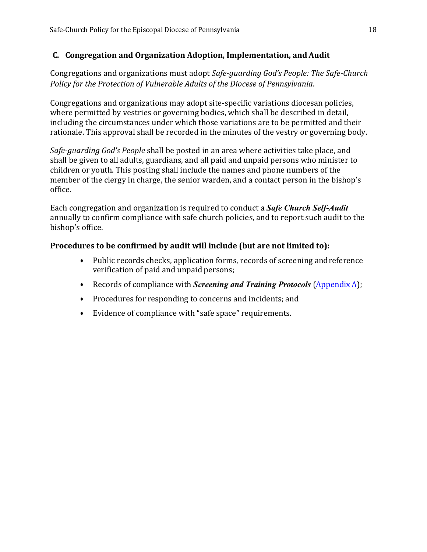#### <span id="page-18-0"></span>**C. Congregation and Organization Adoption, Implementation, and Audit**

Congregations and organizations must adopt *Safe-guarding God's People: The Safe-Church Policy for the Protection of Vulnerable Adults of the Diocese of Pennsylvania*.

Congregations and organizations may adopt site-specific variations diocesan policies, where permitted by vestries or governing bodies, which shall be described in detail, including the circumstances under which those variations are to be permitted and their rationale. This approval shall be recorded in the minutes of the vestry or governing body.

*Safe-guarding God's People* shall be posted in an area where activities take place, and shall be given to all adults, guardians, and all paid and unpaid persons who minister to children or youth. This posting shall include the names and phone numbers of the member of the clergy in charge, the senior warden, and a contact person in the bishop's office.

Each congregation and organization is required to conduct a *Safe Church Self-Audit*  annually to confirm compliance with safe church policies, and to report such audit to the bishop's office.

### **Procedures to be confirmed by audit will include (but are not limited to):**

- Public records checks, application forms, records of screening andreference verification of paid and unpaid persons;
- Records of compliance with *Screening and Training Protocols* [\(Appendix](#page-19-0) A);
- Procedures for responding to concerns and incidents; and
- Evidence of compliance with "safe space" requirements.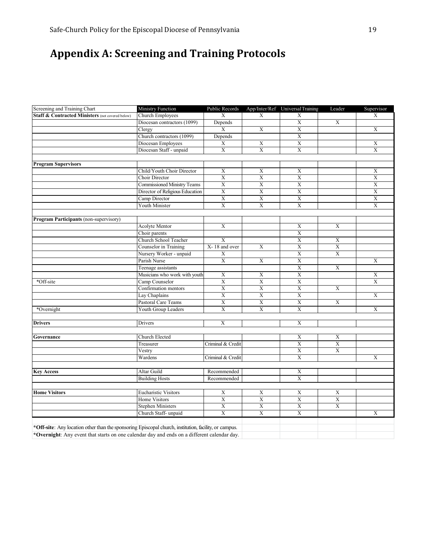# <span id="page-19-0"></span>**Appendix A: Screening and Training Protocols**

| Screening and Training Chart                                                                          | Ministry Function                  | Public Records        |                | App/Inter/Ref Universal Training | Leader                | Supervisor              |
|-------------------------------------------------------------------------------------------------------|------------------------------------|-----------------------|----------------|----------------------------------|-----------------------|-------------------------|
| Staff & Contracted Ministers (not covered below)                                                      | <b>Church Employees</b>            | X                     | X              | X                                |                       | X                       |
|                                                                                                       | Diocesan contractors (1099)        | Depends               |                | $\overline{\textbf{X}}$          | $\overline{X}$        |                         |
|                                                                                                       | Clergy                             | X                     | X              | X                                |                       | X                       |
|                                                                                                       | Church contractors (1099)          | Depends               |                | $\mathbf X$                      |                       |                         |
|                                                                                                       | Diocesan Employees                 | X                     | X              | $\mathbf X$                      |                       | X                       |
|                                                                                                       | Diocesan Staff - unpaid            | $\overline{X}$        | $\overline{X}$ | $\overline{X}$                   |                       | $\overline{\mathrm{X}}$ |
|                                                                                                       |                                    |                       |                |                                  |                       |                         |
| <b>Program Supervisors</b>                                                                            |                                    |                       |                |                                  |                       |                         |
|                                                                                                       | Child/Youth Choir Director         | X                     | X              | X                                |                       | X                       |
|                                                                                                       | Choir Director                     | $\overline{X}$        | $\overline{X}$ | $\overline{X}$                   |                       | $\overline{\mathrm{X}}$ |
|                                                                                                       | <b>Commissioned Ministry Teams</b> | $\overline{X}$        | $\overline{X}$ | $\overline{\text{X}}$            |                       | $\overline{\text{X}}$   |
|                                                                                                       | Director of Religious Education    | $\overline{X}$        | $\overline{X}$ | $\overline{X}$                   |                       | $\overline{\mathrm{X}}$ |
|                                                                                                       | Camp Director                      | $\overline{X}$        | $\overline{X}$ | $\overline{\textbf{X}}$          |                       | $\overline{X}$          |
|                                                                                                       | Youth Minister                     | $\overline{X}$        | $\overline{X}$ | $\overline{X}$                   |                       | $\overline{X}$          |
|                                                                                                       |                                    |                       |                |                                  |                       |                         |
| Program Participants (non-supervisory)                                                                |                                    |                       |                |                                  |                       |                         |
|                                                                                                       | Acolyte Mentor                     | X                     |                | X                                | X                     |                         |
|                                                                                                       | Choir parents                      |                       |                | $\mathbf X$                      |                       |                         |
|                                                                                                       | Church School Teacher              | $\overline{X}$        |                | $\overline{X}$                   | X                     |                         |
|                                                                                                       | Counselor in Training              | X-18 and over         | X              | $\mathbf X$                      | $\mathbf X$           |                         |
|                                                                                                       | Nursery Worker - unpaid            | $\overline{X}$        |                | $\overline{X}$                   | $\overline{X}$        |                         |
|                                                                                                       | Parish Nurse                       | $\mathbf X$           | X              | $\mathbf X$                      |                       | $\mathbf X$             |
|                                                                                                       | Teenage assistants                 |                       |                | $\overline{X}$                   | X                     |                         |
|                                                                                                       | Musicians who work with youth      | X                     | X              | $\mathbf X$                      |                       | $\mathbf X$             |
| *Off-site                                                                                             | Camp Counselor                     | X                     | $\overline{X}$ | $\overline{X}$                   |                       | $\overline{X}$          |
|                                                                                                       | Confirmation mentors               | $\mathbf X$           | $\mathbf X$    | $\overline{\textbf{X}}$          | X                     |                         |
|                                                                                                       | Lay Chaplains                      | X                     | X              | X                                |                       | X                       |
|                                                                                                       | Pastoral Care Teams                | $\mathbf X$           | $\overline{X}$ | $\overline{X}$                   | $\mathbf X$           |                         |
| *Overnight                                                                                            | Youth Group Leaders                | $\overline{X}$        | $\overline{X}$ | $\overline{X}$                   |                       | $\overline{X}$          |
|                                                                                                       |                                    |                       |                |                                  |                       |                         |
| <b>Drivers</b>                                                                                        | Drivers                            | X                     |                | X                                |                       |                         |
|                                                                                                       |                                    |                       |                |                                  |                       |                         |
| Governance                                                                                            | Church Elected                     |                       |                | X                                | X                     |                         |
|                                                                                                       | Treasurer                          | Criminal & Credit     |                | $\overline{\text{X}}$            | X                     |                         |
|                                                                                                       | Vestry                             |                       |                | X                                | X                     |                         |
|                                                                                                       | Wardens                            | Criminal & Credit     |                | $\overline{X}$                   |                       | $\overline{\mathrm{X}}$ |
|                                                                                                       |                                    |                       |                |                                  |                       |                         |
| <b>Key Access</b>                                                                                     | Altar Guild                        | Recommended           |                | X                                |                       |                         |
|                                                                                                       | <b>Building Hosts</b>              | Recommended           |                | $\mathbf X$                      |                       |                         |
|                                                                                                       |                                    |                       |                |                                  |                       |                         |
| <b>Home Visitors</b>                                                                                  | <b>Eucharistic Visitors</b>        | X                     | $\mathbf X$    | $\mathbf X$                      | $\mathbf X$           |                         |
|                                                                                                       | Home Visitors                      | $\overline{\text{X}}$ | $\overline{X}$ | $\overline{X}$                   | $\overline{\text{X}}$ |                         |
|                                                                                                       | <b>Stephen Ministers</b>           | $\mathbf X$           | $\overline{X}$ | $\overline{\text{X}}$            | $\mathbf X$           |                         |
|                                                                                                       | Church Staff-unpaid                | $\overline{X}$        | $\overline{X}$ | $\overline{X}$                   |                       | $\overline{X}$          |
|                                                                                                       |                                    |                       |                |                                  |                       |                         |
| *Off-site: Any location other than the sponsoring Episcopal church, institution, facility, or campus. |                                    |                       |                |                                  |                       |                         |
| *Overnight: Any event that starts on one calendar day and ends on a different calendar day.           |                                    |                       |                |                                  |                       |                         |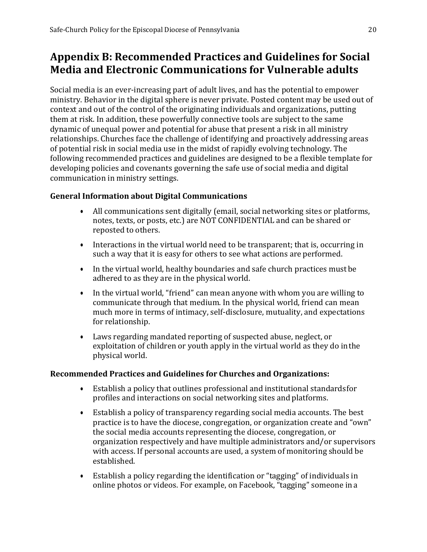# **Appendix B: Recommended Practices and Guidelines for Social Media and Electronic Communications for Vulnerable adults**

Social media is an ever-increasing part of adult lives, and has the potential to empower ministry. Behavior in the digital sphere is never private. Posted content may be used out of context and out of the control of the originating individuals and organizations, putting them at risk. In addition, these powerfully connective tools are subject to the same dynamic of unequal power and potential for abuse that present a risk in all ministry relationships. Churches face the challenge of identifying and proactively addressing areas of potential risk in social media use in the midst of rapidly evolving technology. The following recommended practices and guidelines are designed to be a flexible template for developing policies and covenants governing the safe use of social media and digital communication in ministry settings.

### <span id="page-20-0"></span>**General Information about Digital Communications**

- All communications sent digitally (email, social networking sites or platforms, notes, texts, or posts, etc.) are NOT CONFIDENTIAL and can be shared or reposted to others.
- Interactions in the virtual world need to be transparent; that is, occurring in such a way that it is easy for others to see what actions are performed.
- In the virtual world, healthy boundaries and safe church practices mustbe adhered to as they are in the physical world.
- In the virtual world, "friend" can mean anyone with whom you are willing to communicate through that medium. In the physical world, friend can mean much more in terms of intimacy, self-disclosure, mutuality, and expectations for relationship.
- Laws regarding mandated reporting of suspected abuse, neglect, or exploitation of children or youth apply in the virtual world as they do inthe physical world.

# **Recommended Practices and Guidelines for Churches and Organizations:**

- Establish a policy that outlines professional and institutional standardsfor profiles and interactions on social networking sites and platforms.
- Establish a policy of transparency regarding social media accounts. The best practice is to have the diocese, congregation, or organization create and "own" the social media accounts representing the diocese, congregation, or organization respectively and have multiple administrators and/or supervisors with access. If personal accounts are used, a system of monitoring should be established.
- Establish a policy regarding the identification or "tagging" of individuals in online photos or videos. For example, on Facebook, "tagging" someone in a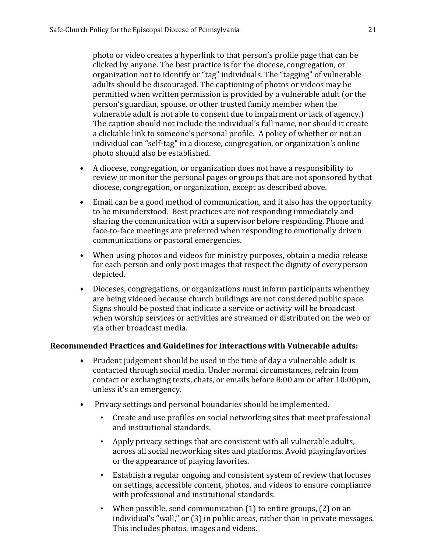photo or video creates a hyperlink to that person's profile page that can be clicked by anyone. The best practice is for the diocese, congregation, or organization not to identify or "tag" individuals. The "tagging" of vulnerable adults should be discouraged. The captioning of photos or videos may be permitted when written permission is provided by a vulnerable adult (or the person's guardian, spouse, or other trusted family member when the vulnerable adult is not able to consent due to impairment or lack of agency.) The caption should not include the individual's full name, nor should it create a clickable link to someone's personal profile. A policy of whether or not an individual can "self-tag" in a diocese, congregation, or organization's online photo should also be established.

- A diocese, congregation, or organization does not have a responsibility to review or monitor the personal pages or groups that are not sponsored bythat diocese, congregation, or organization, except as described above.
- Email can be a good method of communication, and it also has the opportunity to be misunderstood. Best practices are not responding immediately and sharing the communication with a supervisor before responding. Phone and face-to-face meetings are preferred when responding to emotionally driven communications or pastoral emergencies.
- When using photos and videos for ministry purposes, obtain a media release for each person and only post images that respect the dignity of everyperson depicted.
- Dioceses, congregations, or organizations must inform participants whenthey are being videoed because church buildings are not considered public space. Signs should be posted that indicate a service or activity will be broadcast when worship services or activities are streamed or distributed on the web or via other broadcast media.

#### **Recommended Practices and Guidelines for Interactions with Vulnerable adults:**

- Prudent judgement should be used in the time of day a vulnerable adult is contacted through social media. Under normal circumstances, refrain from contact or exchanging texts, chats, or emails before 8:00 am or after 10:00pm, unless it's an emergency.
- Privacy settings and personal boundaries should be implemented.
	- Create and use profiles on social networking sites that meetprofessional and institutional standards.
	- Apply privacy settings that are consistent with all vulnerable adults, across all social networking sites and platforms. Avoid playingfavorites or the appearance of playing favorites.
	- Establish a regular ongoing and consistent system of review that focuses on settings, accessible content, photos, and videos to ensure compliance with professional and institutional standards.
	- When possible, send communication  $(1)$  to entire groups,  $(2)$  on an individual's "wall," or (3) in public areas, rather than in private messages. This includes photos, images and videos.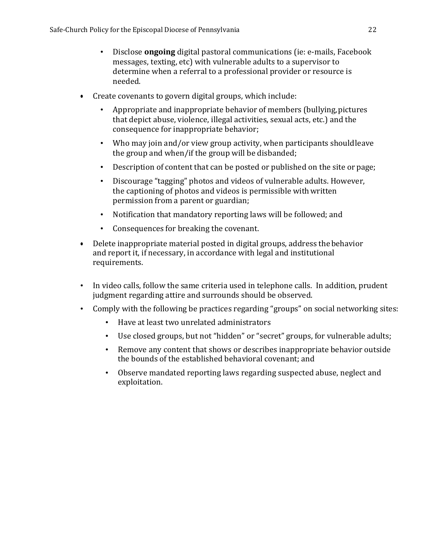- Disclose **ongoing** digital pastoral communications (ie: e-mails, Facebook messages, texting, etc) with vulnerable adults to a supervisor to determine when a referral to a professional provider or resource is needed.
- Create covenants to govern digital groups, which include:
	- Appropriate and inappropriate behavior of members (bullying, pictures that depict abuse, violence, illegal activities, sexual acts, etc.) and the consequence for inappropriate behavior;
	- Who may join and/or view group activity, when participants shouldleave the group and when/if the group will be disbanded;
	- Description of content that can be posted or published on the site or page;
	- Discourage "tagging" photos and videos of vulnerable adults. However, the captioning of photos and videos is permissible withwritten permission from a parent or guardian;
	- Notification that mandatory reporting laws will be followed; and
	- Consequences for breaking the covenant.
- Delete inappropriate material posted in digital groups, address the behavior and report it, if necessary, in accordance with legal and institutional requirements.
- In video calls, follow the same criteria used in telephone calls. In addition, prudent judgment regarding attire and surrounds should be observed.
- Comply with the following be practices regarding "groups" on social networking sites:
	- Have at least two unrelated administrators
	- Use closed groups, but not "hidden" or "secret" groups, for vulnerable adults;
	- Remove any content that shows or describes inappropriate behavior outside the bounds of the established behavioral covenant; and
	- Observe mandated reporting laws regarding suspected abuse, neglect and exploitation.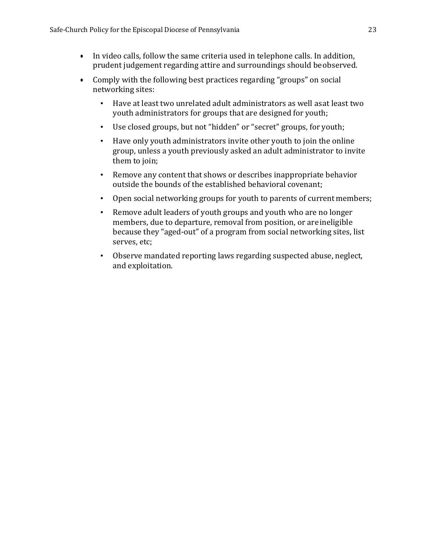- In video calls, follow the same criteria used in telephone calls. In addition, prudent judgement regarding attire and surroundings should beobserved.
- Comply with the following best practices regarding "groups" on social networking sites:
	- Have at least two unrelated adult administrators as well asat least two youth administrators for groups that are designed for youth;
	- Use closed groups, but not "hidden" or "secret" groups, for youth;
	- Have only youth administrators invite other youth to join the online group, unless a youth previously asked an adult administrator to invite them to join;
	- Remove any content that shows or describes inappropriate behavior outside the bounds of the established behavioral covenant;
	- Open social networking groups for youth to parents of current members;
	- Remove adult leaders of youth groups and youth who are no longer members, due to departure, removal from position, or areineligible because they "aged-out" of a program from social networking sites, list serves, etc;
	- Observe mandated reporting laws regarding suspected abuse, neglect, and exploitation.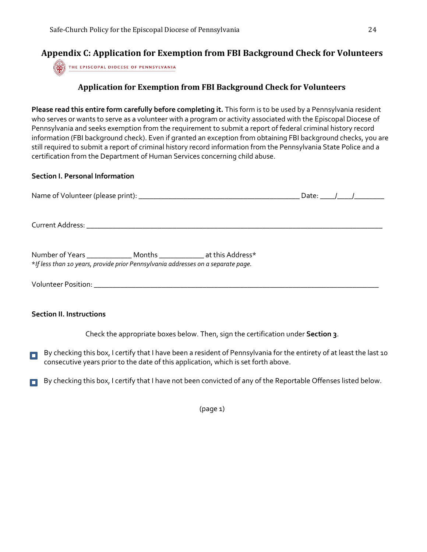# **Appendix C: Application for Exemption from FBI Background Check for Volunteers**

THE EPISCOPAL DIOCESE OF PENNSYLVANIA

#### <span id="page-24-0"></span>**Application for Exemption from FBI Background Check for Volunteers**

**Please read this entire form carefully before completing it.** This form is to be used by a Pennsylvania resident who serves or wants to serve as a volunteer with a program or activity associated with the Episcopal Diocese of Pennsylvania and seeks exemption from the requirement to submit a report of federal criminal history record information (FBI background check). Even if granted an exception from obtaining FBI background checks, you are still required to submit a report of criminal history record information from the Pennsylvania State Police and a certification from the Department of Human Services concerning child abuse.

#### **Section I. Personal Information**

| Number of Years ______________ Months _____________ at this Address*<br>*If less than 10 years, provide prior Pennsylvania addresses on a separate page. |  |  |  |
|----------------------------------------------------------------------------------------------------------------------------------------------------------|--|--|--|
|                                                                                                                                                          |  |  |  |

#### **Section II. Instructions**

Check the appropriate boxes below. Then, sign the certification under **Section 3**.

- By checking this box, I certify that I have been a resident of Pennsylvania for the entirety of at least the last 10  $\Box$ consecutive years prior to the date of this application, which is set forth above.
- By checking this box, I certify that I have not been convicted of any of the Reportable Offenses listed below.  $\blacksquare$

(page 1)